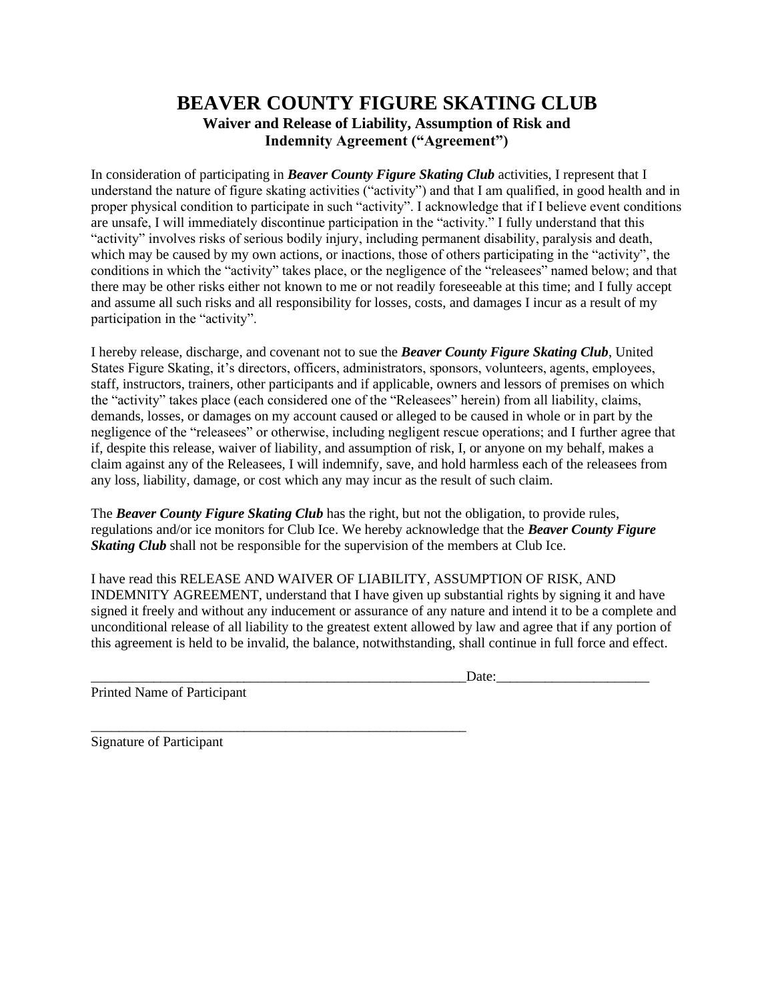## **BEAVER COUNTY FIGURE SKATING CLUB Waiver and Release of Liability, Assumption of Risk and Indemnity Agreement ("Agreement")**

In consideration of participating in *Beaver County Figure Skating Club* activities, I represent that I understand the nature of figure skating activities ("activity") and that I am qualified, in good health and in proper physical condition to participate in such "activity". I acknowledge that if I believe event conditions are unsafe, I will immediately discontinue participation in the "activity." I fully understand that this "activity" involves risks of serious bodily injury, including permanent disability, paralysis and death, which may be caused by my own actions, or inactions, those of others participating in the "activity", the conditions in which the "activity" takes place, or the negligence of the "releasees" named below; and that there may be other risks either not known to me or not readily foreseeable at this time; and I fully accept and assume all such risks and all responsibility for losses, costs, and damages I incur as a result of my participation in the "activity".

I hereby release, discharge, and covenant not to sue the *Beaver County Figure Skating Club*, United States Figure Skating, it's directors, officers, administrators, sponsors, volunteers, agents, employees, staff, instructors, trainers, other participants and if applicable, owners and lessors of premises on which the "activity" takes place (each considered one of the "Releasees" herein) from all liability, claims, demands, losses, or damages on my account caused or alleged to be caused in whole or in part by the negligence of the "releasees" or otherwise, including negligent rescue operations; and I further agree that if, despite this release, waiver of liability, and assumption of risk, I, or anyone on my behalf, makes a claim against any of the Releasees, I will indemnify, save, and hold harmless each of the releasees from any loss, liability, damage, or cost which any may incur as the result of such claim.

The *Beaver County Figure Skating Club* has the right, but not the obligation, to provide rules, regulations and/or ice monitors for Club Ice. We hereby acknowledge that the *Beaver County Figure Skating Club* shall not be responsible for the supervision of the members at Club Ice.

I have read this RELEASE AND WAIVER OF LIABILITY, ASSUMPTION OF RISK, AND INDEMNITY AGREEMENT, understand that I have given up substantial rights by signing it and have signed it freely and without any inducement or assurance of any nature and intend it to be a complete and unconditional release of all liability to the greatest extent allowed by law and agree that if any portion of this agreement is held to be invalid, the balance, notwithstanding, shall continue in full force and effect.

 $Date:$ 

Printed Name of Participant

\_\_\_\_\_\_\_\_\_\_\_\_\_\_\_\_\_\_\_\_\_\_\_\_\_\_\_\_\_\_\_\_\_\_\_\_\_\_\_\_\_\_\_\_\_\_\_\_\_\_\_\_\_\_

Signature of Participant